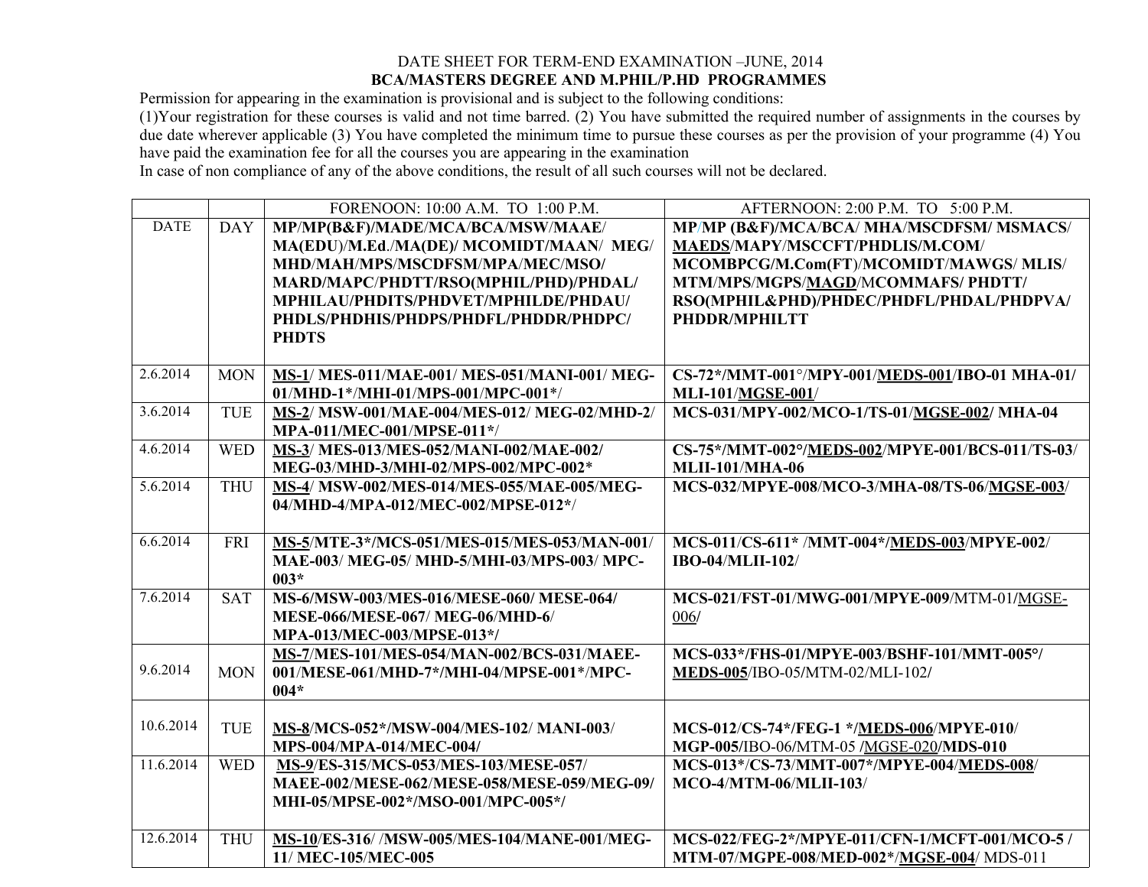## DATE SHEET FOR TERM-END EXAMINATION –JUNE, 2014 **BCA/MASTERS DEGREE AND M.PHIL/P.HD PROGRAMMES**

Permission for appearing in the examination is provisional and is subject to the following conditions:

(1)Your registration for these courses is valid and not time barred. (2) You have submitted the required number of assignments in the courses by due date wherever applicable (3) You have completed the minimum time to pursue these courses as per the provision of your programme (4) You have paid the examination fee for all the courses you are appearing in the examination

In case of non compliance of any of the above conditions, the result of all such courses will not be declared.

|             |            | FORENOON: 10:00 A.M. TO 1:00 P.M.                 | AFTERNOON: 2:00 P.M. TO 5:00 P.M.                |
|-------------|------------|---------------------------------------------------|--------------------------------------------------|
| <b>DATE</b> | <b>DAY</b> | MP/MP(B&F)/MADE/MCA/BCA/MSW/MAAE/                 | MP/MP (B&F)/MCA/BCA/ MHA/MSCDFSM/ MSMACS/        |
|             |            | MA(EDU)/M.Ed./MA(DE)/ MCOMIDT/MAAN/ MEG/          | MAEDS/MAPY/MSCCFT/PHDLIS/M.COM/                  |
|             |            | MHD/MAH/MPS/MSCDFSM/MPA/MEC/MSO/                  | MCOMBPCG/M.Com(FT)/MCOMIDT/MAWGS/ MLIS/          |
|             |            | MARD/MAPC/PHDTT/RSO(MPHIL/PHD)/PHDAL/             | MTM/MPS/MGPS/MAGD/MCOMMAFS/ PHDTT/               |
|             |            | MPHILAU/PHDITS/PHDVET/MPHILDE/PHDAU/              | RSO(MPHIL&PHD)/PHDEC/PHDFL/PHDAL/PHDPVA/         |
|             |            | PHDLS/PHDHIS/PHDPS/PHDFL/PHDDR/PHDPC/             | PHDDR/MPHILTT                                    |
|             |            | <b>PHDTS</b>                                      |                                                  |
|             |            |                                                   |                                                  |
| 2.6.2014    | <b>MON</b> | MS-1/ MES-011/MAE-001/ MES-051/MANI-001/ MEG-     | CS-72*/MMT-001°/MPY-001/MEDS-001/IBO-01 MHA-01/  |
|             |            | 01/MHD-1*/MHI-01/MPS-001/MPC-001*/                | <b>MLI-101/MGSE-001/</b>                         |
| 3.6.2014    | <b>TUE</b> | MS-2/ MSW-001/MAE-004/MES-012/ MEG-02/MHD-2/      | MCS-031/MPY-002/MCO-1/TS-01/MGSE-002/ MHA-04     |
|             |            | MPA-011/MEC-001/MPSE-011*/                        |                                                  |
| 4.6.2014    | <b>WED</b> | MS-3/ MES-013/MES-052/MANI-002/MAE-002/           | CS-75*/MMT-002°/MEDS-002/MPYE-001/BCS-011/TS-03/ |
|             |            | MEG-03/MHD-3/MHI-02/MPS-002/MPC-002*              | <b>MLII-101/MHA-06</b>                           |
| 5.6.2014    | <b>THU</b> | <b>MS-4/ MSW-002/MES-014/MES-055/MAE-005/MEG-</b> | MCS-032/MPYE-008/MCO-3/MHA-08/TS-06/MGSE-003/    |
|             |            | 04/MHD-4/MPA-012/MEC-002/MPSE-012*/               |                                                  |
|             |            |                                                   |                                                  |
| 6.6.2014    | <b>FRI</b> | MS-5/MTE-3*/MCS-051/MES-015/MES-053/MAN-001/      | MCS-011/CS-611* /MMT-004*/MEDS-003/MPYE-002/     |
|             |            | MAE-003/ MEG-05/ MHD-5/MHI-03/MPS-003/ MPC-       | <b>IBO-04/MLII-102/</b>                          |
|             |            | $003*$                                            |                                                  |
| 7.6.2014    | <b>SAT</b> | MS-6/MSW-003/MES-016/MESE-060/ MESE-064/          | MCS-021/FST-01/MWG-001/MPYE-009/MTM-01/MGSE-     |
|             |            | MESE-066/MESE-067/ MEG-06/MHD-6/                  | 006/                                             |
|             |            | MPA-013/MEC-003/MPSE-013*/                        |                                                  |
|             |            | MS-7/MES-101/MES-054/MAN-002/BCS-031/MAEE-        | MCS-033*/FHS-01/MPYE-003/BSHF-101/MMT-005°/      |
| 9.6.2014    | <b>MON</b> | 001/MESE-061/MHD-7*/MHI-04/MPSE-001*/MPC-         | MEDS-005/IBO-05/MTM-02/MLI-102/                  |
|             |            | $004*$                                            |                                                  |
|             |            |                                                   |                                                  |
| 10.6.2014   | <b>TUE</b> | MS-8/MCS-052*/MSW-004/MES-102/ MANI-003/          | MCS-012/CS-74*/FEG-1 */MEDS-006/MPYE-010/        |
|             |            | MPS-004/MPA-014/MEC-004/                          | MGP-005/IBO-06/MTM-05 /MGSE-020/MDS-010          |
| 11.6.2014   | <b>WED</b> | MS-9/ES-315/MCS-053/MES-103/MESE-057/             | MCS-013*/CS-73/MMT-007*/MPYE-004/MEDS-008/       |
|             |            | MAEE-002/MESE-062/MESE-058/MESE-059/MEG-09/       | MCO-4/MTM-06/MLII-103/                           |
|             |            | MHI-05/MPSE-002*/MSO-001/MPC-005*/                |                                                  |
|             |            |                                                   |                                                  |
| 12.6.2014   | <b>THU</b> | MS-10/ES-316/ /MSW-005/MES-104/MANE-001/MEG-      | MCS-022/FEG-2*/MPYE-011/CFN-1/MCFT-001/MCO-5 /   |
|             |            | 11/ MEC-105/MEC-005                               | MTM-07/MGPE-008/MED-002*/MGSE-004/ MDS-011       |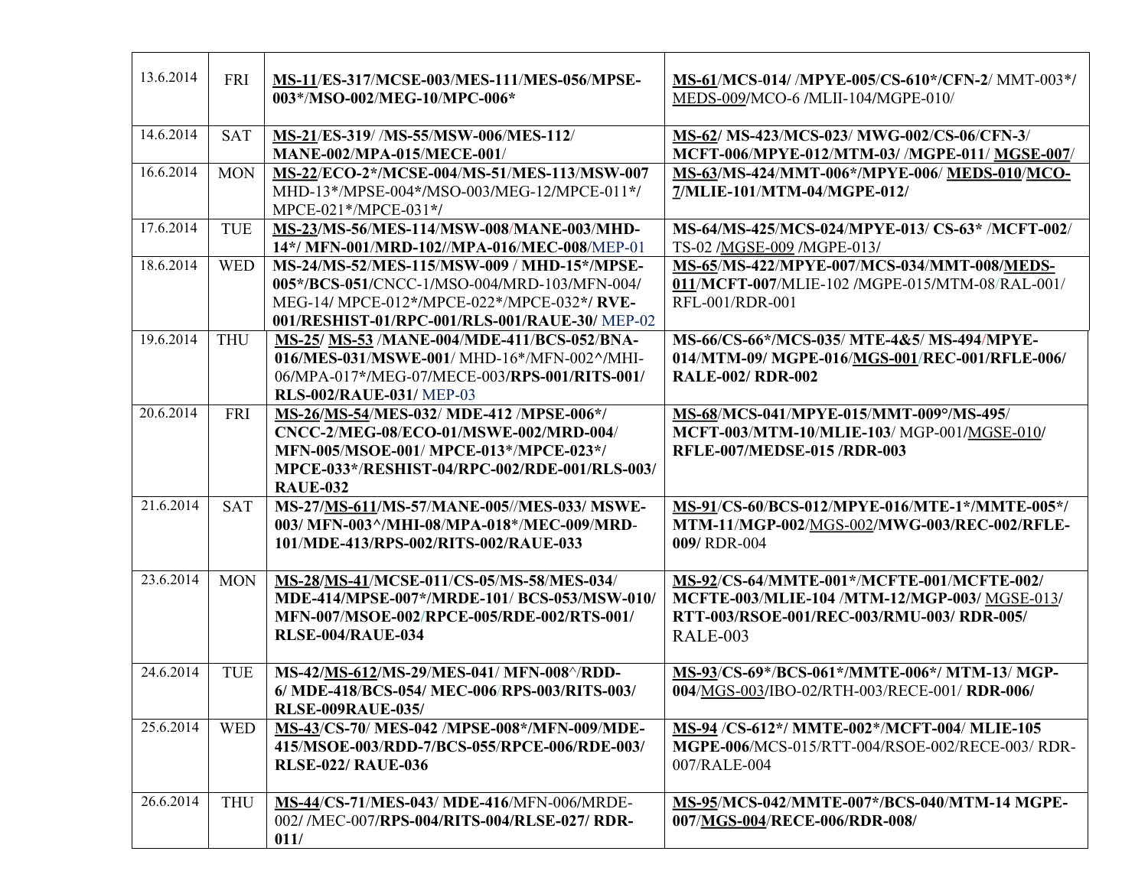| 13.6.2014 | FRI        | MS-11/ES-317/MCSE-003/MES-111/MES-056/MPSE-<br>003*/MSO-002/MEG-10/MPC-006*                                                                                                                      | MS-61/MCS-014/ /MPYE-005/CS-610*/CFN-2/ MMT-003*/<br>MEDS-009/MCO-6 /MLII-104/MGPE-010/                                                               |
|-----------|------------|--------------------------------------------------------------------------------------------------------------------------------------------------------------------------------------------------|-------------------------------------------------------------------------------------------------------------------------------------------------------|
| 14.6.2014 | <b>SAT</b> | MS-21/ES-319//MS-55/MSW-006/MES-112/<br><b>MANE-002/MPA-015/MECE-001/</b>                                                                                                                        | MS-62/ MS-423/MCS-023/ MWG-002/CS-06/CFN-3/<br>MCFT-006/MPYE-012/MTM-03/ /MGPE-011/ MGSE-007/                                                         |
| 16.6.2014 | <b>MON</b> | MS-22/ECO-2*/MCSE-004/MS-51/MES-113/MSW-007<br>MHD-13*/MPSE-004*/MSO-003/MEG-12/MPCE-011*/<br>MPCE-021*/MPCE-031*/                                                                               | MS-63/MS-424/MMT-006*/MPYE-006/ MEDS-010/MCO-<br>7/MLIE-101/MTM-04/MGPE-012/                                                                          |
| 17.6.2014 | <b>TUE</b> | MS-23/MS-56/MES-114/MSW-008/MANE-003/MHD-<br>14*/ MFN-001/MRD-102//MPA-016/MEC-008/MEP-01                                                                                                        | MS-64/MS-425/MCS-024/MPYE-013/ CS-63* /MCFT-002/<br>TS-02 /MGSE-009 /MGPE-013/                                                                        |
| 18.6.2014 | <b>WED</b> | MS-24/MS-52/MES-115/MSW-009 / MHD-15*/MPSE-<br>005*/BCS-051/CNCC-1/MSO-004/MRD-103/MFN-004/<br>MEG-14/ MPCE-012*/MPCE-022*/MPCE-032*/ RVE-<br>001/RESHIST-01/RPC-001/RLS-001/RAUE-30/ MEP-02     | MS-65/MS-422/MPYE-007/MCS-034/MMT-008/MEDS-<br>011/MCFT-007/MLIE-102 /MGPE-015/MTM-08/RAL-001/<br>RFL-001/RDR-001                                     |
| 19.6.2014 | <b>THU</b> | MS-25/ MS-53 /MANE-004/MDE-411/BCS-052/BNA-<br>016/MES-031/MSWE-001/ MHD-16*/MFN-002^/MHI-<br>06/MPA-017*/MEG-07/MECE-003/RPS-001/RITS-001/<br><b>RLS-002/RAUE-031/ MEP-03</b>                   | MS-66/CS-66*/MCS-035/ MTE-4&5/ MS-494/MPYE-<br>014/MTM-09/ MGPE-016/MGS-001/REC-001/RFLE-006/<br><b>RALE-002/ RDR-002</b>                             |
| 20.6.2014 | <b>FRI</b> | MS-26/MS-54/MES-032/ MDE-412 /MPSE-006*/<br>CNCC-2/MEG-08/ECO-01/MSWE-002/MRD-004/<br>MFN-005/MSOE-001/ MPCE-013*/MPCE-023*/<br>MPCE-033*/RESHIST-04/RPC-002/RDE-001/RLS-003/<br><b>RAUE-032</b> | MS-68/MCS-041/MPYE-015/MMT-009°/MS-495/<br>MCFT-003/MTM-10/MLIE-103/MGP-001/MGSE-010/<br><b>RFLE-007/MEDSE-015 /RDR-003</b>                           |
| 21.6.2014 | <b>SAT</b> | MS-27/MS-611/MS-57/MANE-005//MES-033/ MSWE-<br>003/ MFN-003^/MHI-08/MPA-018*/MEC-009/MRD-<br>101/MDE-413/RPS-002/RITS-002/RAUE-033                                                               | MS-91/CS-60/BCS-012/MPYE-016/MTE-1*/MMTE-005*/<br>MTM-11/MGP-002/MGS-002/MWG-003/REC-002/RFLE-<br>009/RDR-004                                         |
| 23.6.2014 | <b>MON</b> | MS-28/MS-41/MCSE-011/CS-05/MS-58/MES-034/<br>MDE-414/MPSE-007*/MRDE-101/ BCS-053/MSW-010/<br>MFN-007/MSOE-002/RPCE-005/RDE-002/RTS-001/<br><b>RLSE-004/RAUE-034</b>                              | MS-92/CS-64/MMTE-001*/MCFTE-001/MCFTE-002/<br>MCFTE-003/MLIE-104 /MTM-12/MGP-003/ MGSE-013/<br>RTT-003/RSOE-001/REC-003/RMU-003/ RDR-005/<br>RALE-003 |
| 24.6.2014 | TUE        | MS-42/MS-612/MS-29/MES-041/ MFN-008^/RDD-<br>6/ MDE-418/BCS-054/ MEC-006/RPS-003/RITS-003/<br><b>RLSE-009RAUE-035/</b>                                                                           | MS-93/CS-69*/BCS-061*/MMTE-006*/ MTM-13/ MGP-<br>004/MGS-003/IBO-02/RTH-003/RECE-001/RDR-006/                                                         |
| 25.6.2014 | <b>WED</b> | MS-43/CS-70/ MES-042 /MPSE-008*/MFN-009/MDE-<br>415/MSOE-003/RDD-7/BCS-055/RPCE-006/RDE-003/<br><b>RLSE-022/ RAUE-036</b>                                                                        | MS-94 /CS-612*/ MMTE-002*/MCFT-004/ MLIE-105<br>MGPE-006/MCS-015/RTT-004/RSOE-002/RECE-003/RDR-<br>007/RALE-004                                       |
| 26.6.2014 | <b>THU</b> | MS-44/CS-71/MES-043/ MDE-416/MFN-006/MRDE-<br>002/ /MEC-007/RPS-004/RITS-004/RLSE-027/ RDR-<br>011/                                                                                              | MS-95/MCS-042/MMTE-007*/BCS-040/MTM-14 MGPE-<br>007/MGS-004/RECE-006/RDR-008/                                                                         |